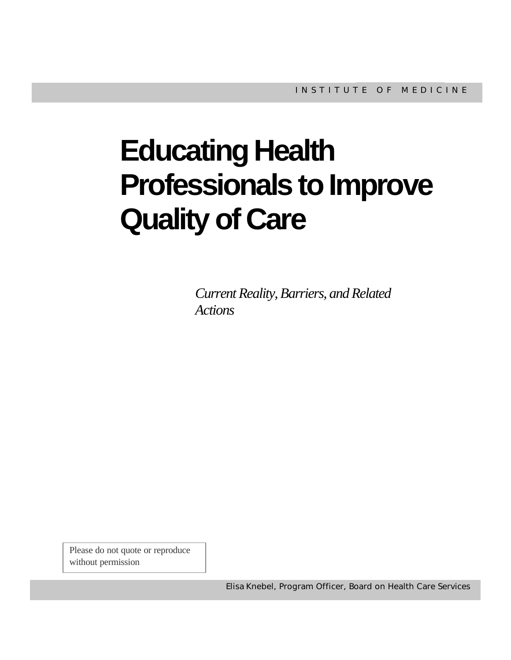# **Educating Health Professionals to Improve Quality of Care**

*Current Reality, Barriers, and Related Actions*

Please do not quote or reproduce without permission

Elisa Knebel, Program Officer, Board on Health Care Services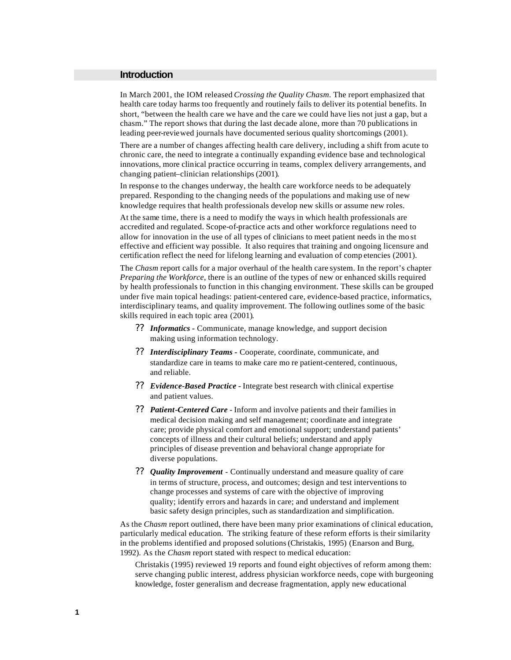#### **Introduction**

In March 2001, the IOM released *Crossing the Quality Chasm*. The report emphasized that health care today harms too frequently and routinely fails to deliver its potential benefits. In short, "between the health care we have and the care we could have lies not just a gap, but a chasm." The report shows that during the last decade alone, more than 70 publications in leading peer-reviewed journals have documented serious quality shortcomings (2001).

There are a number of changes affecting health care delivery, including a shift from acute to chronic care, the need to integrate a continually expanding evidence base and technological innovations, more clinical practice occurring in teams, complex delivery arrangements, and changing patient–clinician relationships (2001).

In response to the changes underway, the health care workforce needs to be adequately prepared. Responding to the changing needs of the populations and making use of new knowledge requires that health professionals develop new skills or assume new roles.

At the same time, there is a need to modify the ways in which health professionals are accredited and regulated. Scope-of-practice acts and other workforce regulations need to allow for innovation in the use of all types of clinicians to meet patient needs in the mo st effective and efficient way possible. It also requires that training and ongoing licensure and certification reflect the need for lifelong learning and evaluation of comp etencies (2001).

The *Chasm* report calls for a major overhaul of the health care system. In the report's chapter *Preparing the Workforce*, there is an outline of the types of new or enhanced skills required by health professionals to function in this changing environment. These skills can be grouped under five main topical headings: patient-centered care, evidence-based practice, informatics, interdisciplinary teams, and quality improvement. The following outlines some of the basic skills required in each topic area (2001).

- ?? *Informatics -* Communicate, manage knowledge, and support decision making using information technology.
- ?? *Interdisciplinary Teams -* Cooperate, coordinate, communicate, and standardize care in teams to make care mo re patient-centered, continuous, and reliable.
- ?? *Evidence-Based Practice -* Integrate best research with clinical expertise and patient values.
- ?? *Patient-Centered Care*  Inform and involve patients and their families in medical decision making and self management; coordinate and integrate care; provide physical comfort and emotional support; understand patients' concepts of illness and their cultural beliefs; understand and apply principles of disease prevention and behavioral change appropriate for diverse populations.
- ?? *Quality Improvement* Continually understand and measure quality of care in terms of structure, process, and outcomes; design and test interventions to change processes and systems of care with the objective of improving quality; identify errors and hazards in care; and understand and implement basic safety design principles, such as standardization and simplification.

As the *Chasm* report outlined, there have been many prior examinations of clinical education, particularly medical education. The striking feature of these reform efforts is their similarity in the problems identified and proposed solutions (Christakis, 1995) (Enarson and Burg, 1992). As the *Chasm* report stated with respect to medical education:

Christakis (1995) reviewed 19 reports and found eight objectives of reform among them: serve changing public interest, address physician workforce needs, cope with burgeoning knowledge, foster generalism and decrease fragmentation, apply new educational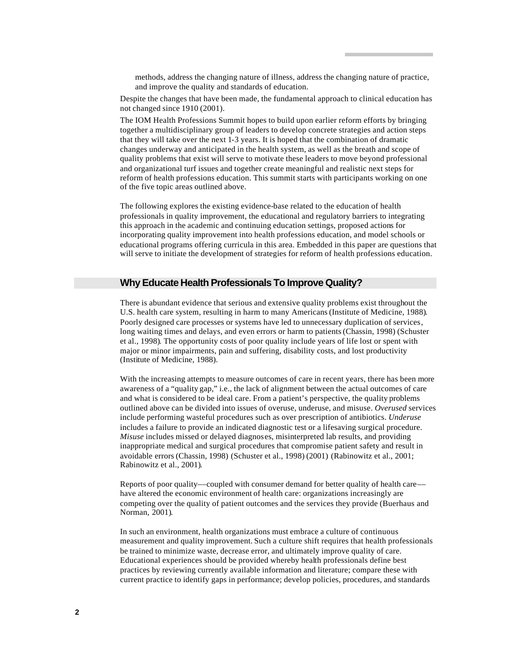methods, address the changing nature of illness, address the changing nature of practice, and improve the quality and standards of education.

Despite the changes that have been made, the fundamental approach to clinical education has not changed since 1910 (2001).

The IOM Health Professions Summit hopes to build upon earlier reform efforts by bringing together a multidisciplinary group of leaders to develop concrete strategies and action steps that they will take over the next 1-3 years. It is hoped that the combination of dramatic changes underway and anticipated in the health system, as well as the breath and scope of quality problems that exist will serve to motivate these leaders to move beyond professional and organizational turf issues and together create meaningful and realistic next steps for reform of health professions education. This summit starts with participants working on one of the five topic areas outlined above.

The following explores the existing evidence-base related to the education of health professionals in quality improvement, the educational and regulatory barriers to integrating this approach in the academic and continuing education settings, proposed actions for incorporating quality improvement into health professions education, and model schools or educational programs offering curricula in this area. Embedded in this paper are questions that will serve to initiate the development of strategies for reform of health professions education.

## **Why Educate Health Professionals To Improve Quality?**

There is abundant evidence that serious and extensive quality problems exist throughout the U.S. health care system, resulting in harm to many Americans (Institute of Medicine, 1988). Poorly designed care processes or systems have led to unnecessary duplication of services, long waiting times and delays, and even errors or harm to patients (Chassin, 1998) (Schuster et al., 1998). The opportunity costs of poor quality include years of life lost or spent with major or minor impairments, pain and suffering, disability costs, and lost productivity (Institute of Medicine, 1988).

With the increasing attempts to measure outcomes of care in recent years, there has been more awareness of a "quality gap," i.e., the lack of alignment between the actual outcomes of care and what is considered to be ideal care. From a patient's perspective, the quality problems outlined above can be divided into issues of overuse, underuse, and misuse. *Overused* services include performing wasteful procedures such as over prescription of antibiotics. *Underuse*  includes a failure to provide an indicated diagnostic test or a lifesaving surgical procedure. *Misuse* includes missed or delayed diagnoses, misinterpreted lab results, and providing inappropriate medical and surgical procedures that compromise patient safety and result in avoidable errors (Chassin, 1998) (Schuster et al., 1998) (2001) (Rabinowitz et al., 2001; Rabinowitz et al., 2001).

Reports of poor quality––coupled with consumer demand for better quality of health care–– have altered the economic environment of health care: organizations increasingly are competing over the quality of patient outcomes and the services they provide (Buerhaus and Norman, 2001).

In such an environment, health organizations must embrace a culture of continuous measurement and quality improvement. Such a culture shift requires that health professionals be trained to minimize waste, decrease error, and ultimately improve quality of care. Educational experiences should be provided whereby health professionals define best practices by reviewing currently available information and literature; compare these with current practice to identify gaps in performance; develop policies, procedures, and standards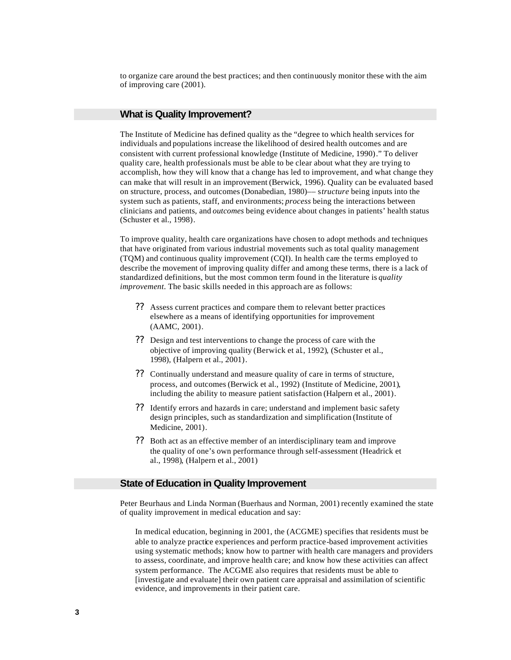to organize care around the best practices; and then continuously monitor these with the aim of improving care (2001).

## **What is Quality Improvement?**

The Institute of Medicine has defined quality as the "degree to which health services for individuals and populations increase the likelihood of desired health outcomes and are consistent with current professional knowledge (Institute of Medicine, 1990)." To deliver quality care, health professionals must be able to be clear about what they are trying to accomplish, how they will know that a change has led to improvement, and what change they can make that will result in an improvement (Berwick, 1996). Quality can be evaluated based on structure, process, and outcomes (Donabedian, 1980)–– s*tructure* being inputs into the system such as patients, staff, and environments; *process* being the interactions between clinicians and patients, and *outcomes* being evidence about changes in patients' health status (Schuster et al., 1998).

To improve quality, health care organizations have chosen to adopt methods and techniques that have originated from various industrial movements such as total quality management (TQM) and continuous quality improvement (CQI). In health care the terms employed to describe the movement of improving quality differ and among these terms, there is a lack of standardized definitions, but the most common term found in the literature is *quality improvement*. The basic skills needed in this approach are as follows:

- ?? Assess current practices and compare them to relevant better practices elsewhere as a means of identifying opportunities for improvement (AAMC, 2001).
- ?? Design and test interventions to change the process of care with the objective of improving quality (Berwick et al., 1992), (Schuster et al., 1998), (Halpern et al., 2001).
- ?? Continually understand and measure quality of care in terms of structure, process, and outcomes (Berwick et al., 1992) (Institute of Medicine, 2001), including the ability to measure patient satisfaction (Halpern et al., 2001).
- ?? Identify errors and hazards in care; understand and implement basic safety design principles, such as standardization and simplification (Institute of Medicine, 2001).
- ?? Both act as an effective member of an interdisciplinary team and improve the quality of one's own performance through self-assessment (Headrick et al., 1998), (Halpern et al., 2001)

## **State of Education in Quality Improvement**

Peter Beurhaus and Linda Norman (Buerhaus and Norman, 2001) recently examined the state of quality improvement in medical education and say:

In medical education, beginning in 2001, the (ACGME) specifies that residents must be able to analyze practice experiences and perform practice-based improvement activities using systematic methods; know how to partner with health care managers and providers to assess, coordinate, and improve health care; and know how these activities can affect system performance. The ACGME also requires that residents must be able to [investigate and evaluate] their own patient care appraisal and assimilation of scientific evidence, and improvements in their patient care.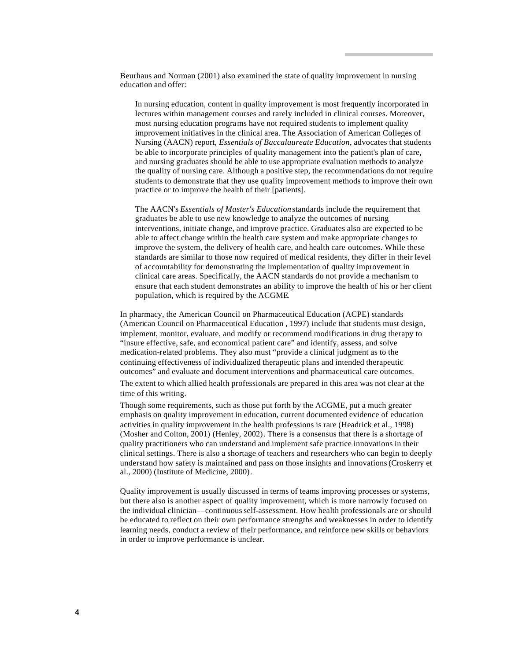Beurhaus and Norman (2001) also examined the state of quality improvement in nursing education and offer:

In nursing education, content in quality improvement is most frequently incorporated in lectures within management courses and rarely included in clinical courses. Moreover, most nursing education programs have not required students to implement quality improvement initiatives in the clinical area. The Association of American Colleges of Nursing (AACN) report, *Essentials of Baccalaureate Education*, advocates that students be able to incorporate principles of quality management into the patient's plan of care, and nursing graduates should be able to use appropriate evaluation methods to analyze the quality of nursing care. Although a positive step, the recommendations do not require students to demonstrate that they use quality improvement methods to improve their own practice or to improve the health of their [patients].

The AACN's *Essentials of Master's Education* standards include the requirement that graduates be able to use new knowledge to analyze the outcomes of nursing interventions, initiate change, and improve practice. Graduates also are expected to be able to affect change within the health care system and make appropriate changes to improve the system, the delivery of health care, and health care outcomes. While these standards are similar to those now required of medical residents, they differ in their level of accountability for demonstrating the implementation of quality improvement in clinical care areas. Specifically, the AACN standards do not provide a mechanism to ensure that each student demonstrates an ability to improve the health of his or her client population, which is required by the ACGME.

In pharmacy, the American Council on Pharmaceutical Education (ACPE) standards (American Council on Pharmaceutical Education , 1997) include that students must design, implement, monitor, evaluate, and modify or recommend modifications in drug therapy to "insure effective, safe, and economical patient care" and identify, assess, and solve medication-related problems. They also must "provide a clinical judgment as to the continuing effectiveness of individualized therapeutic plans and intended therapeutic outcomes" and evaluate and document interventions and pharmaceutical care outcomes.

The extent to which allied health professionals are prepared in this area was not clear at the time of this writing.

Though some requirements, such as those put forth by the ACGME, put a much greater emphasis on quality improvement in education, current documented evidence of education activities in quality improvement in the health professions is rare (Headrick et al., 1998) (Mosher and Colton, 2001) (Henley, 2002). There is a consensus that there is a shortage of quality practitioners who can understand and implement safe practice innovations in their clinical settings. There is also a shortage of teachers and researchers who can begin to deeply understand how safety is maintained and pass on those insights and innovations (Croskerry et al., 2000) (Institute of Medicine, 2000).

Quality improvement is usually discussed in terms of teams improving processes or systems, but there also is another aspect of quality improvement, which is more narrowly focused on the individual clinician––continuous self-assessment. How health professionals are or should be educated to reflect on their own performance strengths and weaknesses in order to identify learning needs, conduct a review of their performance, and reinforce new skills or behaviors in order to improve performance is unclear.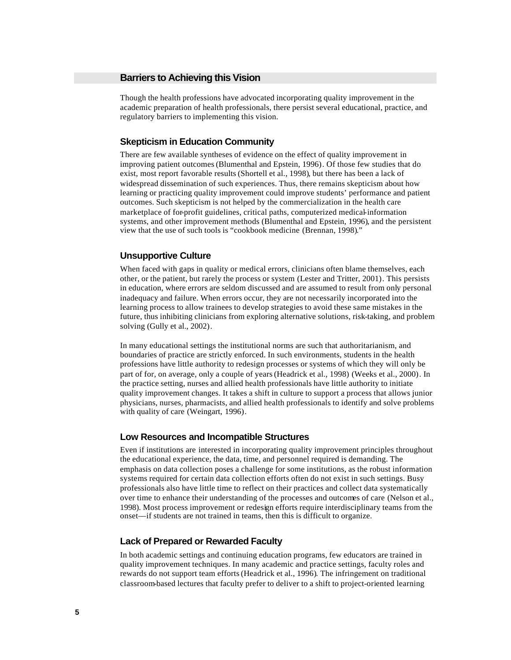Though the health professions have advocated incorporating quality improvement in the academic preparation of health professionals, there persist several educational, practice, and regulatory barriers to implementing this vision.

## **Skepticism in Education Community**

There are few available syntheses of evidence on the effect of quality improvement in improving patient outcomes (Blumenthal and Epstein, 1996). Of those few studies that do exist, most report favorable results (Shortell et al., 1998), but there has been a lack of widespread dissemination of such experiences. Thus, there remains skepticism about how learning or practicing quality improvement could improve students' performance and patient outcomes. Such skepticism is not helped by the commercialization in the health care marketplace of for-profit guidelines, critical paths, computerized medical-information systems, and other improvement methods (Blumenthal and Epstein, 1996), and the persistent view that the use of such tools is "cookbook medicine (Brennan, 1998)."

## **Unsupportive Culture**

When faced with gaps in quality or medical errors, clinicians often blame themselves, each other, or the patient, but rarely the process or system (Lester and Tritter, 2001). This persists in education, where errors are seldom discussed and are assumed to result from only personal inadequacy and failure. When errors occur, they are not necessarily incorporated into the learning process to allow trainees to develop strategies to avoid these same mistakes in the future, thus inhibiting clinicians from exploring alternative solutions, risk-taking, and problem solving (Gully et al., 2002).

In many educational settings the institutional norms are such that authoritarianism, and boundaries of practice are strictly enforced. In such environments, students in the health professions have little authority to redesign processes or systems of which they will only be part of for, on average, only a couple of years (Headrick et al., 1998) (Weeks et al., 2000). In the practice setting, nurses and allied health professionals have little authority to initiate quality improvement changes. It takes a shift in culture to support a process that allows junior physicians, nurses, pharmacists, and allied health professionals to identify and solve problems with quality of care (Weingart, 1996).

#### **Low Resources and Incompatible Structures**

Even if institutions are interested in incorporating quality improvement principles throughout the educational experience, the data, time, and personnel required is demanding. The emphasis on data collection poses a challenge for some institutions, as the robust information systems required for certain data collection efforts often do not exist in such settings. Busy professionals also have little time to reflect on their practices and collect data systematically over time to enhance their understanding of the processes and outcomes of care (Nelson et al., 1998). Most process improvement or redesign efforts require interdisciplinary teams from the onset––if students are not trained in teams, then this is difficult to organize.

#### **Lack of Prepared or Rewarded Faculty**

In both academic settings and continuing education programs, few educators are trained in quality improvement techniques. In many academic and practice settings, faculty roles and rewards do not support team efforts (Headrick et al., 1996). The infringement on traditional classroom-based lectures that faculty prefer to deliver to a shift to project-oriented learning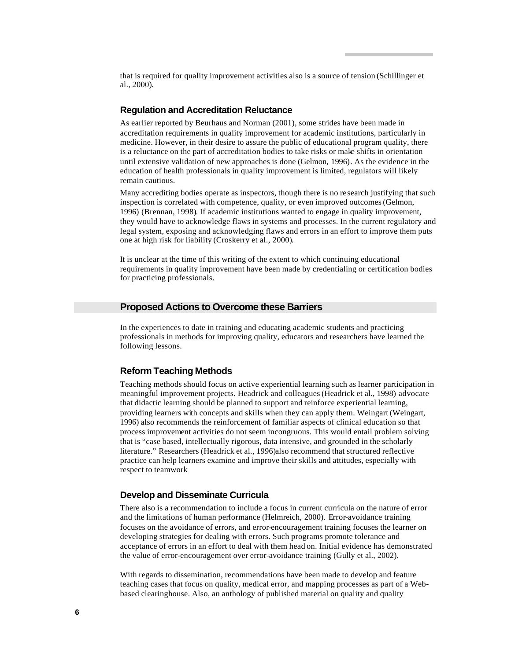that is required for quality improvement activities also is a source of tension (Schillinger et al., 2000).

## **Regulation and Accreditation Reluctance**

As earlier reported by Beurhaus and Norman (2001), some strides have been made in accreditation requirements in quality improvement for academic institutions, particularly in medicine. However, in their desire to assure the public of educational program quality, there is a reluctance on the part of accreditation bodies to take risks or make shifts in orientation until extensive validation of new approaches is done (Gelmon, 1996). As the evidence in the education of health professionals in quality improvement is limited, regulators will likely remain cautious.

Many accrediting bodies operate as inspectors, though there is no research justifying that such inspection is correlated with competence, quality, or even improved outcomes (Gelmon, 1996) (Brennan, 1998). If academic institutions wanted to engage in quality improvement, they would have to acknowledge flaws in systems and processes. In the current regulatory and legal system, exposing and acknowledging flaws and errors in an effort to improve them puts one at high risk for liability (Croskerry et al., 2000).

It is unclear at the time of this writing of the extent to which continuing educational requirements in quality improvement have been made by credentialing or certification bodies for practicing professionals.

## **Proposed Actions to Overcome these Barriers**

In the experiences to date in training and educating academic students and practicing professionals in methods for improving quality, educators and researchers have learned the following lessons.

## **Reform Teaching Methods**

Teaching methods should focus on active experiential learning such as learner participation in meaningful improvement projects. Headrick and colleagues (Headrick et al., 1998) advocate that didactic learning should be planned to support and reinforce experiential learning, providing learners with concepts and skills when they can apply them. Weingart (Weingart, 1996) also recommends the reinforcement of familiar aspects of clinical education so that process improvement activities do not seem incongruous. This would entail problem solving that is "case based, intellectually rigorous, data intensive, and grounded in the scholarly literature." Researchers (Headrick et al., 1996)also recommend that structured reflective practice can help learners examine and improve their skills and attitudes, especially with respect to teamwork

## **Develop and Disseminate Curricula**

There also is a recommendation to include a focus in current curricula on the nature of error and the limitations of human performance (Helmreich, 2000). Error-avoidance training focuses on the avoidance of errors, and error-encouragement training focuses the learner on developing strategies for dealing with errors. Such programs promote tolerance and acceptance of errors in an effort to deal with them head on. Initial evidence has demonstrated the value of error-encouragement over error-avoidance training (Gully et al., 2002).

With regards to dissemination, recommendations have been made to develop and feature teaching cases that focus on quality, medical error, and mapping processes as part of a Webbased clearinghouse. Also, an anthology of published material on quality and quality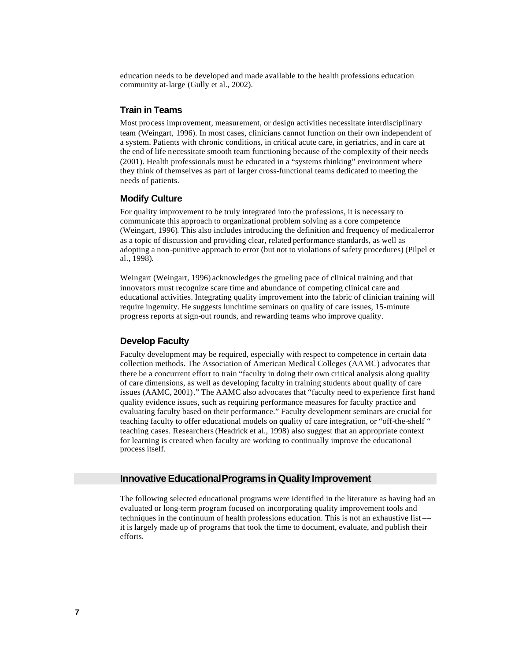education needs to be developed and made available to the health professions education community at-large (Gully et al., 2002).

## **Train in Teams**

Most process improvement, measurement, or design activities necessitate interdisciplinary team (Weingart, 1996). In most cases, clinicians cannot function on their own independent of a system. Patients with chronic conditions, in critical acute care, in geriatrics, and in care at the end of life necessitate smooth team functioning because of the complexity of their needs (2001). Health professionals must be educated in a "systems thinking" environment where they think of themselves as part of larger cross-functional teams dedicated to meeting the needs of patients.

## **Modify Culture**

For quality improvement to be truly integrated into the professions, it is necessary to communicate this approach to organizational problem solving as a core competence (Weingart, 1996). This also includes introducing the definition and frequency of medical error as a topic of discussion and providing clear, related performance standards, as well as adopting a non-punitive approach to error (but not to violations of safety procedures) (Pilpel et al., 1998).

Weingart (Weingart, 1996) acknowledges the grueling pace of clinical training and that innovators must recognize scare time and abundance of competing clinical care and educational activities. Integrating quality improvement into the fabric of clinician training will require ingenuity. He suggests lunchtime seminars on quality of care issues, 15-minute progress reports at sign-out rounds, and rewarding teams who improve quality.

## **Develop Faculty**

Faculty development may be required, especially with respect to competence in certain data collection methods. The Association of American Medical Colleges (AAMC) advocates that there be a concurrent effort to train "faculty in doing their own critical analysis along quality of care dimensions, as well as developing faculty in training students about quality of care issues (AAMC, 2001)." The AAMC also advocates that "faculty need to experience first hand quality evidence issues, such as requiring performance measures for faculty practice and evaluating faculty based on their performance." Faculty development seminars are crucial for teaching faculty to offer educational models on quality of care integration, or "off-the-shelf " teaching cases. Researchers (Headrick et al., 1998) also suggest that an appropriate context for learning is created when faculty are working to continually improve the educational process itself.

## **Innovative Educational Programs in Quality Improvement**

The following selected educational programs were identified in the literature as having had an evaluated or long-term program focused on incorporating quality improvement tools and techniques in the continuum of health professions education. This is not an exhaustive list –– it is largely made up of programs that took the time to document, evaluate, and publish their efforts.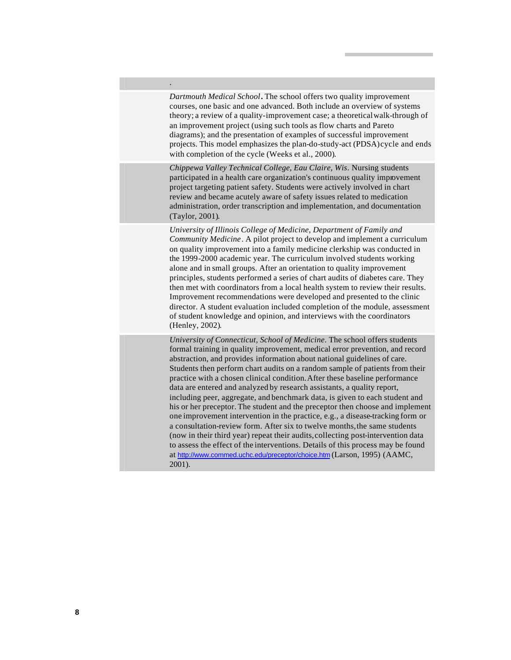*Dartmouth Medical School***.** The school offers two quality improvement courses, one basic and one advanced. Both include an overview of systems theory; a review of a quality-improvement case; a theoreticalwalk-through of an improvement project (using such tools as flow charts and Pareto diagrams); and the presentation of examples of successful improvement projects. This model emphasizes the plan-do-study-act (PDSA)cycle and ends with completion of the cycle (Weeks et al., 2000).

.

*Chippewa Valley Technical College, Eau Claire, Wis*. Nursing students participated in a health care organization's continuous quality improvement project targeting patient safety. Students were actively involved in chart review and became acutely aware of safety issues related to medication administration, order transcription and implementation, and documentation (Taylor, 2001).

*University of Illinois College of Medicine, Department of Family and Community Medicine*. A pilot project to develop and implement a curriculum on quality improvement into a family medicine clerkship was conducted in the 1999-2000 academic year. The curriculum involved students working alone and in small groups. After an orientation to quality improvement principles, students performed a series of chart audits of diabetes care. They then met with coordinators from a local health system to review their results. Improvement recommendations were developed and presented to the clinic director. A student evaluation included completion of the module, assessment of student knowledge and opinion, and interviews with the coordinators (Henley, 2002).

*University of Connecticut, School of Medicine*. The school offers students formal training in quality improvement, medical error prevention, and record abstraction, and provides information about national guidelines of care. Students then perform chart audits on a random sample of patients from their practice with a chosen clinical condition.After these baseline performance data are entered and analyzed by research assistants, a quality report, including peer, aggregate, and benchmark data, is given to each student and his or her preceptor. The student and the preceptor then choose and implement one improvement intervention in the practice, e.g., a disease-tracking form or a consultation-review form. After six to twelve months,the same students (now in their third year) repeat their audits,collecting post-intervention data to assess the effect of the interventions. Details of this process may be found at http://www.commed.uchc.edu/preceptor/choice.htm (Larson, 1995) (AAMC, 2001).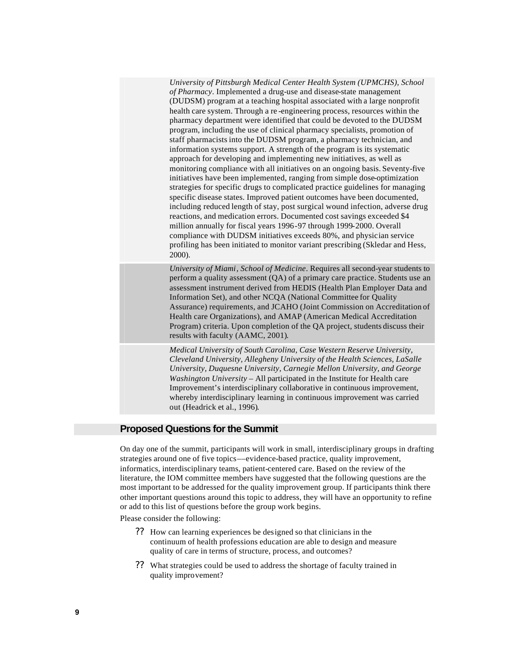*University of Pittsburgh Medical Center Health System (UPMCHS), School of Pharmacy*. Implemented a drug-use and disease-state management (DUDSM) program at a teaching hospital associated with a large nonprofit health care system. Through a re -engineering process, resources within the pharmacy department were identified that could be devoted to the DUDSM program, including the use of clinical pharmacy specialists, promotion of staff pharmacists into the DUDSM program, a pharmacy technician, and information systems support. A strength of the program is its systematic approach for developing and implementing new initiatives, as well as monitoring compliance with all initiatives on an ongoing basis. Seventy-five initiatives have been implemented, ranging from simple dose-optimization strategies for specific drugs to complicated practice guidelines for managing specific disease states. Improved patient outcomes have been documented, including reduced length of stay, post surgical wound infection, adverse drug reactions, and medication errors. Documented cost savings exceeded \$4 million annually for fiscal years 1996-97 through 1999-2000. Overall compliance with DUDSM initiatives exceeds 80%, and physician service profiling has been initiated to monitor variant prescribing (Skledar and Hess, 2000).

*University of Miami, School of Medicine*. Requires all second-year students to perform a quality assessment (QA) of a primary care practice. Students use an assessment instrument derived from HEDIS (Health Plan Employer Data and Information Set), and other NCQA (National Committee for Quality Assurance) requirements, and JCAHO (Joint Commission on Accreditation of Health care Organizations), and AMAP (American Medical Accreditation Program) criteria. Upon completion of the QA project, students discuss their results with faculty (AAMC, 2001).

*Medical University of South Carolina, Case Western Reserve University, Cleveland University, Allegheny University of the Health Sciences, LaSalle University, Duquesne University, Carnegie Mellon University, and George Washington University* – All participated in the Institute for Health care Improvement's interdisciplinary collaborative in continuous improvement, whereby interdisciplinary learning in continuous improvement was carried out (Headrick et al., 1996).

## **Proposed Questions for the Summit**

On day one of the summit, participants will work in small, interdisciplinary groups in drafting strategies around one of five topics––evidence-based practice, quality improvement, informatics, interdisciplinary teams, patient-centered care. Based on the review of the literature, the IOM committee members have suggested that the following questions are the most important to be addressed for the quality improvement group. If participants think there other important questions around this topic to address, they will have an opportunity to refine or add to this list of questions before the group work begins.

Please consider the following:

- ?? How can learning experiences be designed so that clinicians in the continuum of health professions education are able to design and measure quality of care in terms of structure, process, and outcomes?
- ?? What strategies could be used to address the shortage of faculty trained in quality improvement?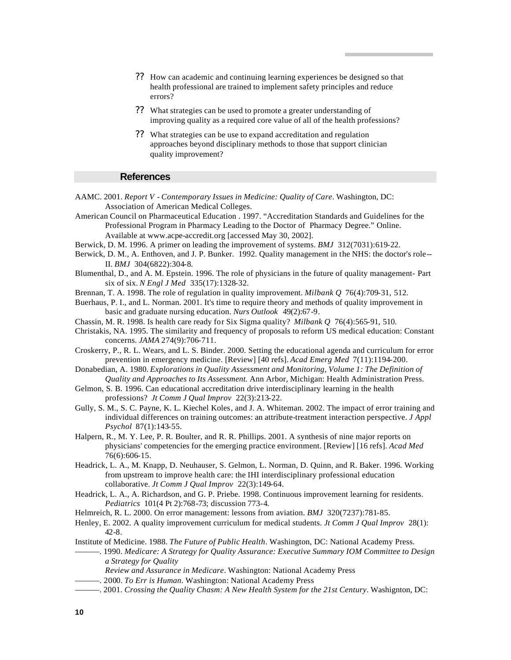- ?? How can academic and continuing learning experiences be designed so that health professional are trained to implement safety principles and reduce errors?
- ?? What strategies can be used to promote a greater understanding of improving quality as a required core value of all of the health professions?
- ?? What strategies can be use to expand accreditation and regulation approaches beyond disciplinary methods to those that support clinician quality improvement?

#### **References**

- AAMC. 2001. *Report V Contemporary Issues in Medicine: Quality of Care*. Washington, DC: Association of American Medical Colleges.
- American Council on Pharmaceutical Education . 1997. "Accreditation Standards and Guidelines for the Professional Program in Pharmacy Leading to the Doctor of Pharmacy Degree." Online. Available at www.acpe-accredit.org [accessed May 30, 2002].
- Berwick, D. M. 1996. A primer on leading the improvement of systems. *BMJ* 312(7031):619-22.
- Berwick, D. M., A. Enthoven, and J. P. Bunker. 1992. Quality management in the NHS: the doctor's role-- II. *BMJ* 304(6822):304-8.
- Blumenthal, D., and A. M. Epstein. 1996. The role of physicians in the future of quality management- Part six of six. *N Engl J Med* 335(17):1328-32.
- Brennan, T. A. 1998. The role of regulation in quality improvement. *Milbank Q* 76(4):709-31, 512.
- Buerhaus, P. I., and L. Norman. 2001. It's time to require theory and methods of quality improvement in basic and graduate nursing education. *Nurs Outlook* 49(2):67-9.
- Chassin, M. R. 1998. Is health care ready for Six Sigma quality? *Milbank Q* 76(4):565-91, 510.
- Christakis, NA. 1995. The similarity and frequency of proposals to reform US medical education: Constant concerns. *JAMA* 274(9):706-711.
- Croskerry, P., R. L. Wears, and L. S. Binder. 2000. Setting the educational agenda and curriculum for error prevention in emergency medicine. [Review] [40 refs]. *Acad Emerg Med* 7(11):1194-200.
- Donabedian, A. 1980. *Explorations in Quality Assessment and Monitoring, Volume 1: The Definition of Quality and Approaches to Its Assessment.* Ann Arbor, Michigan: Health Administration Press.
- Gelmon, S. B. 1996. Can educational accreditation drive interdisciplinary learning in the health professions? *Jt Comm J Qual Improv* 22(3):213-22.
- Gully, S. M., S. C. Payne, K. L. Kiechel Koles, and J. A. Whiteman. 2002. The impact of error training and individual differences on training outcomes: an attribute-treatment interaction perspective. *J Appl Psychol* 87(1):143-55.
- Halpern, R., M. Y. Lee, P. R. Boulter, and R. R. Phillips. 2001. A synthesis of nine major reports on physicians' competencies for the emerging practice environment. [Review] [16 refs]. *Acad Med*  76(6):606-15.
- Headrick, L. A., M. Knapp, D. Neuhauser, S. Gelmon, L. Norman, D. Quinn, and R. Baker. 1996. Working from upstream to improve health care: the IHI interdisciplinary professional education collaborative. *Jt Comm J Qual Improv* 22(3):149-64.
- Headrick, L. A., A. Richardson, and G. P. Priebe. 1998. Continuous improvement learning for residents. *Pediatrics* 101(4 Pt 2):768-73; discussion 773-4.
- Helmreich, R. L. 2000. On error management: lessons from aviation. *BMJ* 320(7237):781-85.
- Henley, E. 2002. A quality improvement curriculum for medical students. *Jt Comm J Qual Improv* 28(1): 42-8.
- Institute of Medicine. 1988. *The Future of Public Health*. Washington, DC: National Academy Press.
- ———. 1990. *Medicare: A Strategy for Quality Assurance: Executive Summary IOM Committee to Design a Strategy for Quality*
	- *Review and Assurance in Medicare*. Washington: National Academy Press
- ———. 2000. *To Err is Human*. Washington: National Academy Press
- ———. 2001. *Crossing the Quality Chasm: A New Health System for the 21st Century*. Washignton, DC: